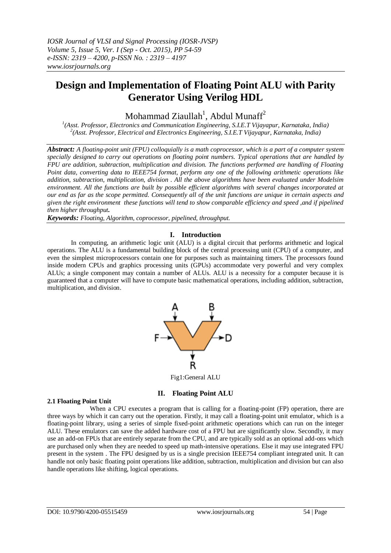# **Design and Implementation of Floating Point ALU with Parity Generator Using Verilog HDL**

Mohammad Ziaullah<sup>1</sup>, Abdul Munaff<sup>2</sup>

*1 (Asst. Professor, Electronics and Communication Engineering, S.I.E.T Vijayapur, Karnataka, India) 2 (Asst. Professor, Electrical and Electronics Engineering, S.I.E.T Vijayapur, Karnataka, India)*

*Abstract: A floating-point unit (FPU) colloquially is a math coprocessor, which is a part of a computer system specially designed to carry out operations on floating point numbers. Typical operations that are handled by FPU are addition, subtraction, multiplication and division. The functions performed are handling of Floating Point data, converting data to IEEE754 format, perform any one of the following arithmetic operations like addition, subtraction, multiplication, division . All the above algorithms have been evaluated under Modelsim environment. All the functions are built by possible efficient algorithms with several changes incorporated at our end as far as the scope permitted. Consequently all of the unit functions are unique in certain aspects and given the right environment these functions will tend to show comparable efficiency and speed ,and if pipelined then higher throughput.*

*Keywords: Floating, Algorithm, coprocessor, pipelined, throughput.*

# **I. Introduction**

In computing, an arithmetic logic unit (ALU) is a digital circuit that performs arithmetic and logical operations. The ALU is a fundamental building block of the central processing unit (CPU) of a computer, and even the simplest microprocessors contain one for purposes such as maintaining timers. The processors found inside modern CPUs and graphics processing units (GPUs) accommodate very powerful and very complex ALUs; a single component may contain a number of ALUs. ALU is a necessity for a computer because it is guaranteed that a computer will have to compute basic mathematical operations, including addition, subtraction, multiplication, and division.



Fig1:General ALU

## **II. Floating Point ALU**

### **2.1 Floating Point Unit**

When a CPU executes a program that is calling for a floating-point (FP) operation, there are three ways by which it can carry out the operation. Firstly, it may call a floating-point unit emulator, which is a floating-point library, using a series of simple fixed-point arithmetic operations which can run on the integer ALU. These emulators can save the added hardware cost of a FPU but are significantly slow. Secondly, it may use an add-on FPUs that are entirely separate from the CPU, and are typically sold as an optional add-ons which are purchased only when they are needed to speed up math-intensive operations. Else it may use integrated FPU present in the system . The FPU designed by us is a single precision IEEE754 compliant integrated unit. It can handle not only basic floating point operations like addition, subtraction, multiplication and division but can also handle operations like shifting, logical operations.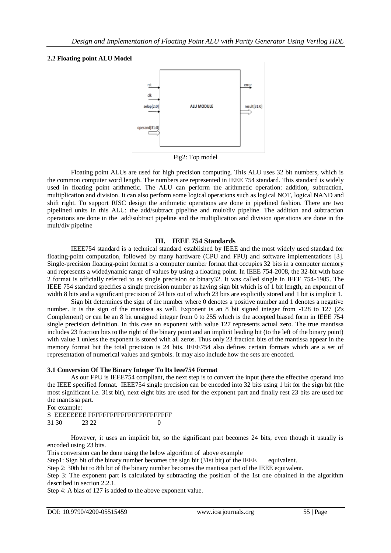## **2.2 Floating point ALU Model**



Fig2: Top model

Floating point ALUs are used for high precision computing. This ALU uses 32 bit numbers, which is the common computer word length. The numbers are represented in IEEE 754 standard. This standard is widely used in floating point arithmetic. The ALU can perform the arithmetic operation: addition, subtraction, multiplication and division. It can also perform some logical operations such as logical NOT, logical NAND and shift right. To support RISC design the arithmetic operations are done in pipelined fashion. There are two pipelined units in this ALU: the add/subtract pipeline and mult/div pipeline. The addition and subtraction operations are done in the add/subtract pipeline and the multiplication and division operations are done in the mult/div pipeline

# **III. IEEE 754 Standards**

IEEE754 standard is a technical standard established by IEEE and the most widely used standard for floating-point computation, followed by many hardware (CPU and FPU) and software implementations [3]. Single-precision floating-point format is a computer number format that occupies 32 bits in a computer memory and represents a widedynamic range of values by using a floating point. In IEEE 754-2008, the 32-bit with base 2 format is officially referred to as single precision or binary32. It was called single in IEEE 754-1985. The IEEE 754 standard specifies a single precision number as having sign bit which is of 1 bit length, an exponent of width 8 bits and a significant precision of 24 bits out of which 23 bits are explicitly stored and 1 bit is implicit 1.

Sign bit determines the sign of the number where 0 denotes a positive number and 1 denotes a negative number. It is the sign of the mantissa as well. Exponent is an 8 bit signed integer from -128 to 127 (2's Complement) or can be an 8 bit unsigned integer from 0 to 255 which is the accepted biased form in IEEE 754 single precision definition. In this case an exponent with value 127 represents actual zero. The true mantissa includes 23 fraction bits to the right of the binary point and an implicit leading bit (to the left of the binary point) with value 1 unless the exponent is stored with all zeros. Thus only 23 fraction bits of the mantissa appear in the memory format but the total precision is 24 bits. IEEE754 also defines certain formats which are a set of representation of numerical values and symbols. It may also include how the sets are encoded.

## **3.1 Conversion Of The Binary Integer To Its Ieee754 Format**

 As our FPU is IEEE754 compliant, the next step is to convert the input (here the effective operand into the IEEE specified format. IEEE754 single precision can be encoded into 32 bits using 1 bit for the sign bit (the most significant i.e. 31st bit), next eight bits are used for the exponent part and finally rest 23 bits are used for the mantissa part.

For example:

S EEEEEEEE FFFFFFFFFFFFFFFFFFFFFFF

31 30 23 22 0

However, it uses an implicit bit, so the significant part becomes 24 bits, even though it usually is encoded using 23 bits.

This conversion can be done using the below algorithm of above example

Step1: Sign bit of the binary number becomes the sign bit (31st bit) of the IEEE equivalent.

Step 2: 30th bit to 8th bit of the binary number becomes the mantissa part of the IEEE equivalent.

Step 3: The exponent part is calculated by subtracting the position of the 1st one obtained in the algorithm described in section 2.2.1.

Step 4: A bias of 127 is added to the above exponent value.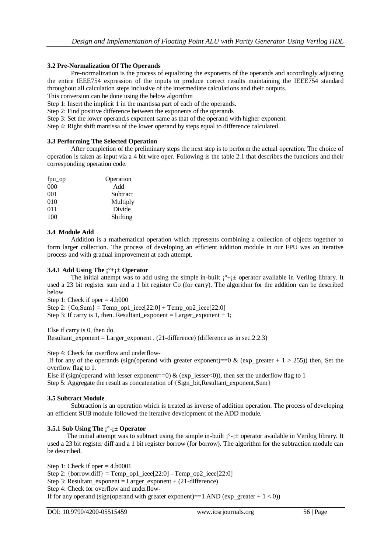## **3.2 Pre-Normalization Of The Operands**

 Pre-normalization is the process of equalizing the exponents of the operands and accordingly adjusting the entire IEEE754 expression of the inputs to produce correct results maintaining the IEEE754 standard throughout all calculation steps inclusive of the intermediate calculations and their outputs.

This conversion can be done using the below algorithm

Step 1: Insert the implicit 1 in the mantissa part of each of the operands.

Step 2: Find positive difference between the exponents of the operands

Step 3: Set the lower operand.s exponent same as that of the operand with higher exponent.

Step 4: Right shift mantissa of the lower operand by steps equal to difference calculated.

## **3.3 Performing The Selected Operation**

 After completion of the preliminary steps the next step is to perform the actual operation. The choice of operation is taken as input via a 4 bit wire oper. Following is the table 2.1 that describes the functions and their corresponding operation code.

| fpu_op | Operation |
|--------|-----------|
| 000    | Add       |
| 001    | Subtract  |
| 010    | Multiply  |
| 011    | Divide    |
| 100    | Shifting  |

## **3.4 Module Add**

 Addition is a mathematical operation which represents combining a collection of objects together to form larger collection. The process of developing an efficient addition module in our FPU was an iterative process and with gradual improvement at each attempt.

## **3.4.1 Add Using The ¡°+¡± Operator**

The initial attempt was to add using the simple in-built  $i^{\circ}+i$  operator available in Verilog library. It used a 23 bit register sum and a 1 bit register Co (for carry). The algorithm for the addition can be described below

Step 1: Check if oper  $= 4.6000$ 

Step 2:  ${Co,Sum}$  = Temp\_op1\_ieee[22:0] + Temp\_op2\_ieee[22:0]

Step 3: If carry is 1, then. Resultant exponent = Larger exponent + 1;

Else if carry is 0, then do Resultant exponent = Larger exponent . (21-difference) (difference as in sec.2.2.3)

Step 4: Check for overflow and underflow-

.If for any of the operands (sign(operand with greater exponent)==0 & (exp\_greater + 1 > 255)) then, Set the overflow flag to 1.

Else if (sign(operand with lesser exponent==0)  $\&$  (exp\_lesser<0)), then set the underflow flag to 1 Step 5: Aggregate the result as concatenation of  $\{Sign\_bit,Resultant\_exponent,Sum\}$ 

### **3.5 Subtract Module**

 Subtraction is an operation which is treated as inverse of addition operation. The process of developing an efficient SUB module followed the iterative development of the ADD module.

## **3.5.1 Sub Using The ¡°-¡± Operator**

The initial attempt was to subtract using the simple in-built  $i^{\circ}$ - $\pm$  operator available in Verilog library. It used a 23 bit register diff and a 1 bit register borrow (for borrow). The algorithm for the subtraction module can be described.

Step 1: Check if oper  $= 4.60001$ Step 2: {borrow.diff} = Temp\_op1\_ieee[22:0] - Temp\_op2\_ieee[22:0] Step 3: Resultant exponent = Larger exponent +  $(21$ -difference) Step 4: Check for overflow and underflow-If for any operand (sign(operand with greater exponent)==1 AND (exp\_greater  $+ 1 < 0$ ))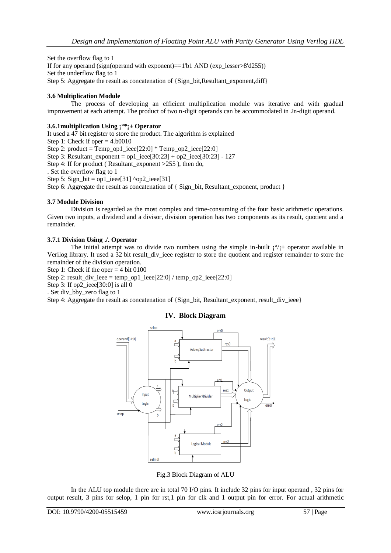Set the overflow flag to 1 If for any operand (sign(operand with exponent)==1'b1 AND (exp\_lesser>8'd255)) Set the underflow flag to 1 Step 5: Aggregate the result as concatenation of {Sign\_bit,Resultant\_exponent,diff}

# **3.6 Multiplication Module**

 The process of developing an efficient multiplication module was iterative and with gradual improvement at each attempt. The product of two n-digit operands can be accommodated in 2n-digit operand.

## **3.6.1multiplication Using ¡°\*¡± Operator**

It used a 47 bit register to store the product. The algorithm is explained Step 1: Check if oper  $= 4.60010$ Step 2: product = Temp\_op1\_ieee[22:0] \* Temp\_op2\_ieee[22:0] Step 3: Resultant exponent = op1 ieee[30:23] + op2 ieee[30:23] - 127 Step 4: If for product (Resultant exponent  $>255$ ), then do, . Set the overflow flag to 1 Step 5: Sign\_bit = op1\_ieee[31] ^op2\_ieee[31] Step 6: Aggregate the result as concatenation of { Sign\_bit, Resultant\_exponent, product }

# **3.7 Module Division**

 Division is regarded as the most complex and time-consuming of the four basic arithmetic operations. Given two inputs, a dividend and a divisor, division operation has two components as its result, quotient and a remainder.

# **3.7.1 Division Using ./. Operator**

The initial attempt was to divide two numbers using the simple in-built  $i^{\circ}/i^{\pm}$  operator available in Verilog library. It used a 32 bit result\_div\_ieee register to store the quotient and register remainder to store the remainder of the division operation.

Step 1: Check if the oper  $=$  4 bit 0100

Step 2: result\_div\_ieee = temp\_op1\_ieee[22:0] / temp\_op2\_ieee[22:0]

Step 3: If op2 ieee[30:0] is all 0

. Set div\_bby\_zero flag to 1

Step 4: Aggregate the result as concatenation of  $\{\text{Sign bit, Result any component, result}div\}$ 

# **IV. Block Diagram**



Fig.3 Block Diagram of ALU

In the ALU top module there are in total 70 I/O pins. It include 32 pins for input operand , 32 pins for output result, 3 pins for selop, 1 pin for rst,1 pin for clk and 1 output pin for error. For actual arithmetic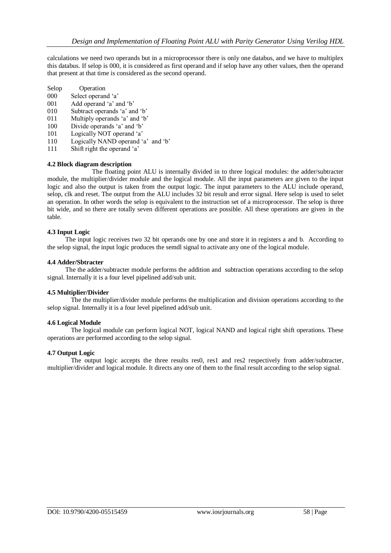calculations we need two operands but in a microprocessor there is only one databus, and we have to multiplex this databus. If selop is 000, it is considered as first operand and if selop have any other values, then the operand that present at that time is considered as the second operand.

- Selop Operation
- 000 Select operand "a"
- 001 Add operand "a" and "b"
- 010 Subtract operands "a" and "b"
- 011 Multiply operands "a" and "b"
- 100 Divide operands "a" and "b"
- 101 Logically NOT operand 'a'
- 110 Logically NAND operand 'a' and 'b'
- 111 Shift right the operand "a"

### **4.2 Block diagram description**

 The floating point ALU is internally divided in to three logical modules: the adder/subtracter module, the multiplier/divider module and the logical module. All the input parameters are given to the input logic and also the output is taken from the output logic. The input parameters to the ALU include operand, selop, clk and reset. The output from the ALU includes 32 bit result and error signal. Here selop is used to selet an operation. In other words the selop is equivalent to the instruction set of a microprocessor. The selop is three bit wide, and so there are totally seven different operations are possible. All these operations are given in the table.

## **4.3 Input Logic**

 The input logic receives two 32 bit operands one by one and store it in registers a and b. According to the selop signal, the input logic produces the semdl signal to activate any one of the logical module.

### **4.4 Adder/Sbtracter**

The the adder/subtracter module performs the addition and subtraction operations according to the selop signal. Internally it is a four level pipelined add/sub unit.

## **4.5 Multiplier/Divider**

The the multiplier/divider module performs the multiplication and division operations according to the selop signal. Internally it is a four level pipelined add/sub unit.

### **4.6 Logical Module**

The logical module can perform logical NOT, logical NAND and logical right shift operations. These operations are performed according to the selop signal.

### **4.7 Output Logic**

The output logic accepts the three results res0, res1 and res2 respectively from adder/subtracter, multiplier/divider and logical module. It directs any one of them to the final result according to the selop signal.